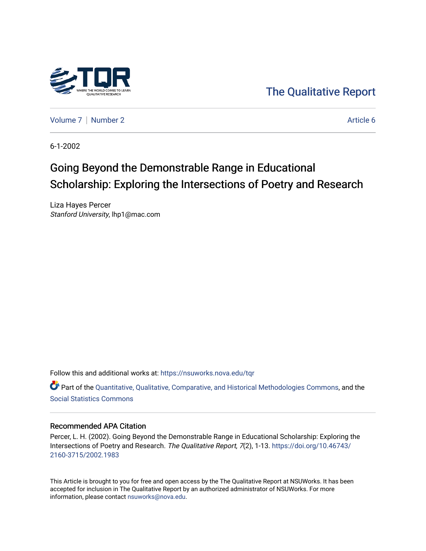

[The Qualitative Report](https://nsuworks.nova.edu/tqr) 

[Volume 7](https://nsuworks.nova.edu/tqr/vol7) | [Number 2](https://nsuworks.nova.edu/tqr/vol7/iss2) Article 6

6-1-2002

## Going Beyond the Demonstrable Range in Educational Scholarship: Exploring the Intersections of Poetry and Research

Liza Hayes Percer Stanford University, lhp1@mac.com

Follow this and additional works at: [https://nsuworks.nova.edu/tqr](https://nsuworks.nova.edu/tqr?utm_source=nsuworks.nova.edu%2Ftqr%2Fvol7%2Fiss2%2F6&utm_medium=PDF&utm_campaign=PDFCoverPages) 

Part of the [Quantitative, Qualitative, Comparative, and Historical Methodologies Commons,](http://network.bepress.com/hgg/discipline/423?utm_source=nsuworks.nova.edu%2Ftqr%2Fvol7%2Fiss2%2F6&utm_medium=PDF&utm_campaign=PDFCoverPages) and the [Social Statistics Commons](http://network.bepress.com/hgg/discipline/1275?utm_source=nsuworks.nova.edu%2Ftqr%2Fvol7%2Fiss2%2F6&utm_medium=PDF&utm_campaign=PDFCoverPages) 

#### Recommended APA Citation

Percer, L. H. (2002). Going Beyond the Demonstrable Range in Educational Scholarship: Exploring the Intersections of Poetry and Research. The Qualitative Report, 7(2), 1-13. [https://doi.org/10.46743/](https://doi.org/10.46743/2160-3715/2002.1983) [2160-3715/2002.1983](https://doi.org/10.46743/2160-3715/2002.1983)

This Article is brought to you for free and open access by the The Qualitative Report at NSUWorks. It has been accepted for inclusion in The Qualitative Report by an authorized administrator of NSUWorks. For more information, please contact [nsuworks@nova.edu.](mailto:nsuworks@nova.edu)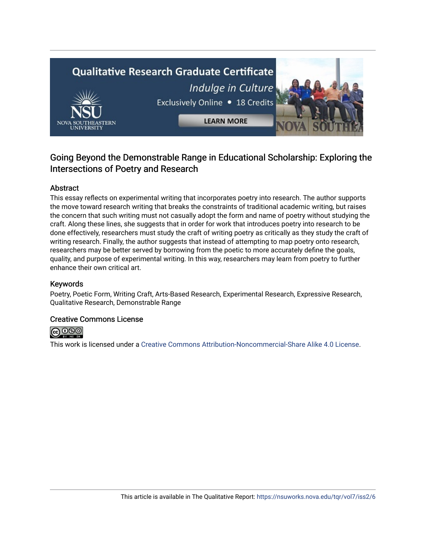# **Qualitative Research Graduate Certificate** Indulge in Culture Exclusively Online . 18 Credits **LEARN MORE**

### Going Beyond the Demonstrable Range in Educational Scholarship: Exploring the Intersections of Poetry and Research

#### Abstract

This essay reflects on experimental writing that incorporates poetry into research. The author supports the move toward research writing that breaks the constraints of traditional academic writing, but raises the concern that such writing must not casually adopt the form and name of poetry without studying the craft. Along these lines, she suggests that in order for work that introduces poetry into research to be done effectively, researchers must study the craft of writing poetry as critically as they study the craft of writing research. Finally, the author suggests that instead of attempting to map poetry onto research, researchers may be better served by borrowing from the poetic to more accurately define the goals, quality, and purpose of experimental writing. In this way, researchers may learn from poetry to further enhance their own critical art.

#### Keywords

Poetry, Poetic Form, Writing Craft, Arts-Based Research, Experimental Research, Expressive Research, Qualitative Research, Demonstrable Range

#### Creative Commons License



This work is licensed under a [Creative Commons Attribution-Noncommercial-Share Alike 4.0 License](https://creativecommons.org/licenses/by-nc-sa/4.0/).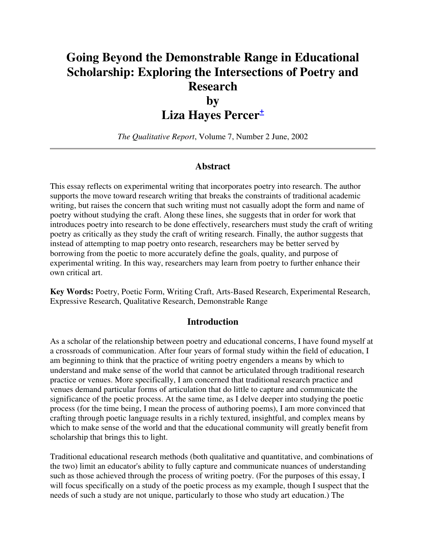## **Going Beyond the Demonstrable Range in Educational Scholarship: Exploring the Intersections of Poetry and Research**

## **by Liza Hayes Percer<sup>+</sup>**

*The Qualitative Report*, Volume 7, Number 2 June, 2002

#### **Abstract**

This essay reflects on experimental writing that incorporates poetry into research. The author supports the move toward research writing that breaks the constraints of traditional academic writing, but raises the concern that such writing must not casually adopt the form and name of poetry without studying the craft. Along these lines, she suggests that in order for work that introduces poetry into research to be done effectively, researchers must study the craft of writing poetry as critically as they study the craft of writing research. Finally, the author suggests that instead of attempting to map poetry onto research, researchers may be better served by borrowing from the poetic to more accurately define the goals, quality, and purpose of experimental writing. In this way, researchers may learn from poetry to further enhance their own critical art.

**Key Words:** Poetry, Poetic Form, Writing Craft, Arts-Based Research, Experimental Research, Expressive Research, Qualitative Research, Demonstrable Range

#### **Introduction**

As a scholar of the relationship between poetry and educational concerns, I have found myself at a crossroads of communication. After four years of formal study within the field of education, I am beginning to think that the practice of writing poetry engenders a means by which to understand and make sense of the world that cannot be articulated through traditional research practice or venues. More specifically, I am concerned that traditional research practice and venues demand particular forms of articulation that do little to capture and communicate the significance of the poetic process. At the same time, as I delve deeper into studying the poetic process (for the time being, I mean the process of authoring poems), I am more convinced that crafting through poetic language results in a richly textured, insightful, and complex means by which to make sense of the world and that the educational community will greatly benefit from scholarship that brings this to light.

Traditional educational research methods (both qualitative and quantitative, and combinations of the two) limit an educator's ability to fully capture and communicate nuances of understanding such as those achieved through the process of writing poetry. (For the purposes of this essay, I will focus specifically on a study of the poetic process as my example, though I suspect that the needs of such a study are not unique, particularly to those who study art education.) The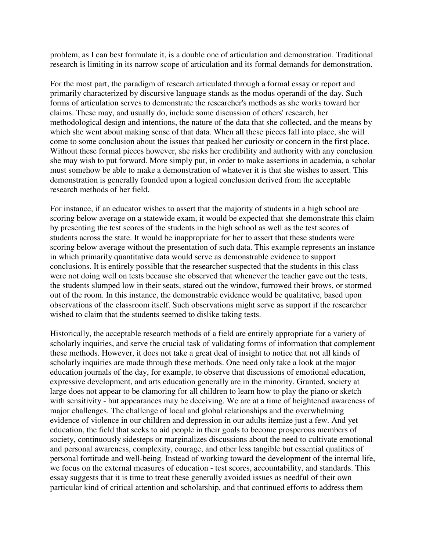problem, as I can best formulate it, is a double one of articulation and demonstration. Traditional research is limiting in its narrow scope of articulation and its formal demands for demonstration.

For the most part, the paradigm of research articulated through a formal essay or report and primarily characterized by discursive language stands as the modus operandi of the day. Such forms of articulation serves to demonstrate the researcher's methods as she works toward her claims. These may, and usually do, include some discussion of others' research, her methodological design and intentions, the nature of the data that she collected, and the means by which she went about making sense of that data. When all these pieces fall into place, she will come to some conclusion about the issues that peaked her curiosity or concern in the first place. Without these formal pieces however, she risks her credibility and authority with any conclusion she may wish to put forward. More simply put, in order to make assertions in academia, a scholar must somehow be able to make a demonstration of whatever it is that she wishes to assert. This demonstration is generally founded upon a logical conclusion derived from the acceptable research methods of her field.

For instance, if an educator wishes to assert that the majority of students in a high school are scoring below average on a statewide exam, it would be expected that she demonstrate this claim by presenting the test scores of the students in the high school as well as the test scores of students across the state. It would be inappropriate for her to assert that these students were scoring below average without the presentation of such data. This example represents an instance in which primarily quantitative data would serve as demonstrable evidence to support conclusions. It is entirely possible that the researcher suspected that the students in this class were not doing well on tests because she observed that whenever the teacher gave out the tests, the students slumped low in their seats, stared out the window, furrowed their brows, or stormed out of the room. In this instance, the demonstrable evidence would be qualitative, based upon observations of the classroom itself. Such observations might serve as support if the researcher wished to claim that the students seemed to dislike taking tests.

Historically, the acceptable research methods of a field are entirely appropriate for a variety of scholarly inquiries, and serve the crucial task of validating forms of information that complement these methods. However, it does not take a great deal of insight to notice that not all kinds of scholarly inquiries are made through these methods. One need only take a look at the major education journals of the day, for example, to observe that discussions of emotional education, expressive development, and arts education generally are in the minority. Granted, society at large does not appear to be clamoring for all children to learn how to play the piano or sketch with sensitivity - but appearances may be deceiving. We are at a time of heightened awareness of major challenges. The challenge of local and global relationships and the overwhelming evidence of violence in our children and depression in our adults itemize just a few. And yet education, the field that seeks to aid people in their goals to become prosperous members of society, continuously sidesteps or marginalizes discussions about the need to cultivate emotional and personal awareness, complexity, courage, and other less tangible but essential qualities of personal fortitude and well-being. Instead of working toward the development of the internal life, we focus on the external measures of education - test scores, accountability, and standards. This essay suggests that it is time to treat these generally avoided issues as needful of their own particular kind of critical attention and scholarship, and that continued efforts to address them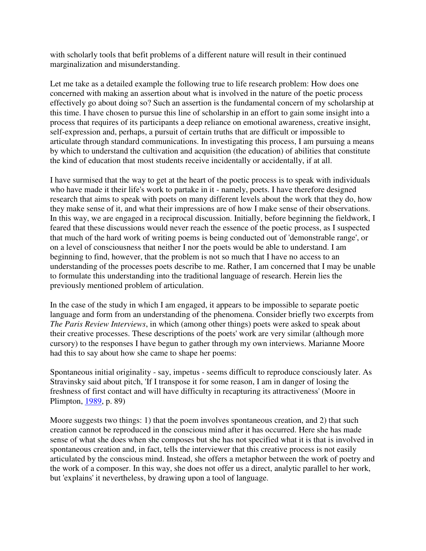with scholarly tools that befit problems of a different nature will result in their continued marginalization and misunderstanding.

Let me take as a detailed example the following true to life research problem: How does one concerned with making an assertion about what is involved in the nature of the poetic process effectively go about doing so? Such an assertion is the fundamental concern of my scholarship at this time. I have chosen to pursue this line of scholarship in an effort to gain some insight into a process that requires of its participants a deep reliance on emotional awareness, creative insight, self-expression and, perhaps, a pursuit of certain truths that are difficult or impossible to articulate through standard communications. In investigating this process, I am pursuing a means by which to understand the cultivation and acquisition (the education) of abilities that constitute the kind of education that most students receive incidentally or accidentally, if at all.

I have surmised that the way to get at the heart of the poetic process is to speak with individuals who have made it their life's work to partake in it - namely, poets. I have therefore designed research that aims to speak with poets on many different levels about the work that they do, how they make sense of it, and what their impressions are of how I make sense of their observations. In this way, we are engaged in a reciprocal discussion. Initially, before beginning the fieldwork, I feared that these discussions would never reach the essence of the poetic process, as I suspected that much of the hard work of writing poems is being conducted out of 'demonstrable range', or on a level of consciousness that neither I nor the poets would be able to understand. I am beginning to find, however, that the problem is not so much that I have no access to an understanding of the processes poets describe to me. Rather, I am concerned that I may be unable to formulate this understanding into the traditional language of research. Herein lies the previously mentioned problem of articulation.

In the case of the study in which I am engaged, it appears to be impossible to separate poetic language and form from an understanding of the phenomena. Consider briefly two excerpts from *The Paris Review Interviews*, in which (among other things) poets were asked to speak about their creative processes. These descriptions of the poets' work are very similar (although more cursory) to the responses I have begun to gather through my own interviews. Marianne Moore had this to say about how she came to shape her poems:

Spontaneous initial originality - say, impetus - seems difficult to reproduce consciously later. As Stravinsky said about pitch, 'If I transpose it for some reason, I am in danger of losing the freshness of first contact and will have difficulty in recapturing its attractiveness' (Moore in Plimpton, 1989, p. 89)

Moore suggests two things: 1) that the poem involves spontaneous creation, and 2) that such creation cannot be reproduced in the conscious mind after it has occurred. Here she has made sense of what she does when she composes but she has not specified what it is that is involved in spontaneous creation and, in fact, tells the interviewer that this creative process is not easily articulated by the conscious mind. Instead, she offers a metaphor between the work of poetry and the work of a composer. In this way, she does not offer us a direct, analytic parallel to her work, but 'explains' it nevertheless, by drawing upon a tool of language.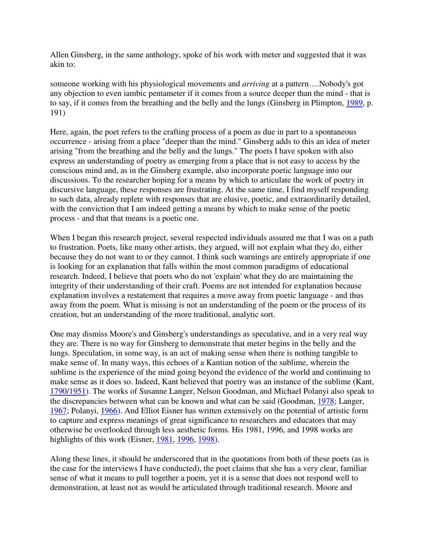Allen Ginsberg, in the same anthology, spoke of his work with meter and suggested that it was akin to:

someone working with his physiological movements and *arriving* at a pattern….Nobody's got any objection to even iambic pentameter if it comes from a source deeper than the mind - that is to say, if it comes from the breathing and the belly and the lungs (Ginsberg in Plimpton, 1989, p. 191)

Here, again, the poet refers to the crafting process of a poem as due in part to a spontaneous occurrence - arising from a place "deeper than the mind." Ginsberg adds to this an idea of meter arising "from the breathing and the belly and the lungs." The poets I have spoken with also express an understanding of poetry as emerging from a place that is not easy to access by the conscious mind and, as in the Ginsberg example, also incorporate poetic language into our discussions. To the researcher hoping for a means by which to articulate the work of poetry in discursive language, these responses are frustrating. At the same time, I find myself responding to such data, already replete with responses that are elusive, poetic, and extraordinarily detailed, with the conviction that I am indeed getting a means by which to make sense of the poetic process - and that that means is a poetic one.

When I began this research project, several respected individuals assured me that I was on a path to frustration. Poets, like many other artists, they argued, will not explain what they do, either because they do not want to or they cannot. I think such warnings are entirely appropriate if one is looking for an explanation that falls within the most common paradigms of educational research. Indeed, I believe that poets who do not 'explain' what they do are maintaining the integrity of their understanding of their craft. Poems are not intended for explanation because explanation involves a restatement that requires a move away from poetic language - and thus away from the poem. What is missing is not an understanding of the poem or the process of its creation, but an understanding of the more traditional, analytic sort.

One may dismiss Moore's and Ginsberg's understandings as speculative, and in a very real way they are. There is no way for Ginsberg to demonstrate that meter begins in the belly and the lungs. Speculation, in some way, is an act of making sense when there is nothing tangible to make sense of. In many ways, this echoes of a Kantian notion of the sublime, wherein the sublime is the experience of the mind going beyond the evidence of the world and continuing to make sense as it does so. Indeed, Kant believed that poetry was an instance of the sublime (Kant, 1790/1951). The works of Susanne Langer, Nelson Goodman, and Michael Polanyi also speak to the discrepancies between what can be known and what can be said (Goodman, 1978; Langer, 1967; Polanyi, 1966). And Elliot Eisner has written extensively on the potential of artistic form to capture and express meanings of great significance to researchers and educators that may otherwise be overlooked through less aesthetic forms. His 1981, 1996, and 1998 works are highlights of this work (Eisner, 1981, 1996, 1998).

Along these lines, it should be underscored that in the quotations from both of these poets (as is the case for the interviews I have conducted), the poet claims that she has a very clear, familiar sense of what it means to pull together a poem, yet it is a sense that does not respond well to demonstration, at least not as would be articulated through traditional research. Moore and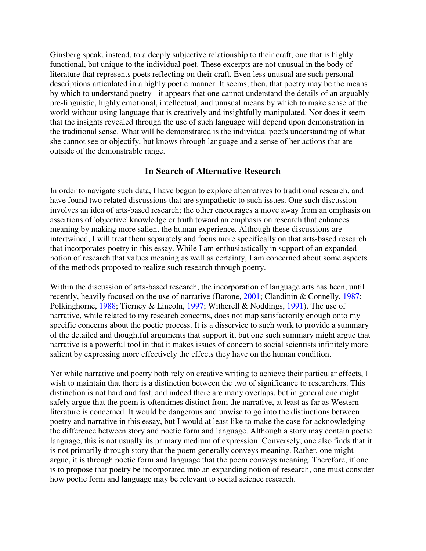Ginsberg speak, instead, to a deeply subjective relationship to their craft, one that is highly functional, but unique to the individual poet. These excerpts are not unusual in the body of literature that represents poets reflecting on their craft. Even less unusual are such personal descriptions articulated in a highly poetic manner. It seems, then, that poetry may be the means by which to understand poetry - it appears that one cannot understand the details of an arguably pre-linguistic, highly emotional, intellectual, and unusual means by which to make sense of the world without using language that is creatively and insightfully manipulated. Nor does it seem that the insights revealed through the use of such language will depend upon demonstration in the traditional sense. What will be demonstrated is the individual poet's understanding of what she cannot see or objectify, but knows through language and a sense of her actions that are outside of the demonstrable range.

#### **In Search of Alternative Research**

In order to navigate such data, I have begun to explore alternatives to traditional research, and have found two related discussions that are sympathetic to such issues. One such discussion involves an idea of arts-based research; the other encourages a move away from an emphasis on assertions of 'objective' knowledge or truth toward an emphasis on research that enhances meaning by making more salient the human experience. Although these discussions are intertwined, I will treat them separately and focus more specifically on that arts-based research that incorporates poetry in this essay. While I am enthusiastically in support of an expanded notion of research that values meaning as well as certainty, I am concerned about some aspects of the methods proposed to realize such research through poetry.

Within the discussion of arts-based research, the incorporation of language arts has been, until recently, heavily focused on the use of narrative (Barone, 2001; Clandinin & Connelly, 1987; Polkinghorne, 1988; Tierney & Lincoln, 1997; Witherell & Noddings, 1991). The use of narrative, while related to my research concerns, does not map satisfactorily enough onto my specific concerns about the poetic process. It is a disservice to such work to provide a summary of the detailed and thoughtful arguments that support it, but one such summary might argue that narrative is a powerful tool in that it makes issues of concern to social scientists infinitely more salient by expressing more effectively the effects they have on the human condition.

Yet while narrative and poetry both rely on creative writing to achieve their particular effects, I wish to maintain that there is a distinction between the two of significance to researchers. This distinction is not hard and fast, and indeed there are many overlaps, but in general one might safely argue that the poem is oftentimes distinct from the narrative, at least as far as Western literature is concerned. It would be dangerous and unwise to go into the distinctions between poetry and narrative in this essay, but I would at least like to make the case for acknowledging the difference between story and poetic form and language. Although a story may contain poetic language, this is not usually its primary medium of expression. Conversely, one also finds that it is not primarily through story that the poem generally conveys meaning. Rather, one might argue, it is through poetic form and language that the poem conveys meaning. Therefore, if one is to propose that poetry be incorporated into an expanding notion of research, one must consider how poetic form and language may be relevant to social science research.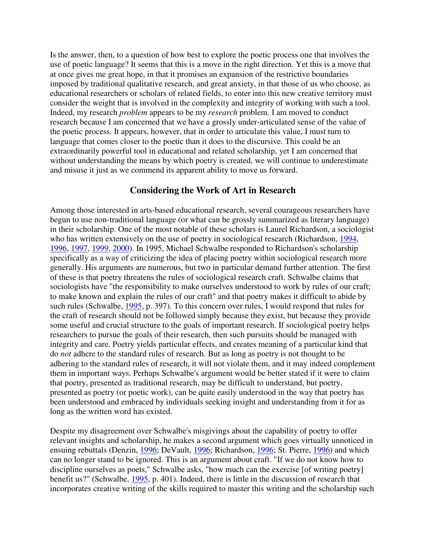Is the answer, then, to a question of how best to explore the poetic process one that involves the use of poetic language? It seems that this is a move in the right direction. Yet this is a move that at once gives me great hope, in that it promises an expansion of the restrictive boundaries imposed by traditional qualitative research, and great anxiety, in that those of us who choose, as educational researchers or scholars of related fields, to enter into this new creative territory must consider the weight that is involved in the complexity and integrity of working with such a tool. Indeed, my research *problem* appears to be my *research* problem. I am moved to conduct research because I am concerned that we have a grossly under-articulated sense of the value of the poetic process. It appears, however, that in order to articulate this value, I must turn to language that comes closer to the poetic than it does to the discursive. This could be an extraordinarily powerful tool in educational and related scholarship, yet I am concerned that without understanding the means by which poetry is created, we will continue to underestimate and misuse it just as we commend its apparent ability to move us forward.

#### **Considering the Work of Art in Research**

Among those interested in arts-based educational research, several courageous researchers have begun to use non-traditional language (or what can be grossly summarized as literary language) in their scholarship. One of the most notable of these scholars is Laurel Richardson, a sociologist who has written extensively on the use of poetry in sociological research (Richardson, 1994, 1996, 1997, 1999, 2000). In 1995, Michael Schwalbe responded to Richardson's scholarship specifically as a way of criticizing the idea of placing poetry within sociological research more generally. His arguments are numerous, but two in particular demand further attention. The first of these is that poetry threatens the rules of sociological research craft. Schwalbe claims that sociologists have "the responsibility to make ourselves understood to work by rules of our craft; to make known and explain the rules of our craft" and that poetry makes it difficult to abide by such rules (Schwalbe, 1995, p. 397). To this concern over rules, I would respond that rules for the craft of research should not be followed simply because they exist, but because they provide some useful and crucial structure to the goals of important research. If sociological poetry helps researchers to pursue the goals of their research, then such pursuits should be managed with integrity and care. Poetry yields particular effects, and creates meaning of a particular kind that do *not* adhere to the standard rules of research. But as long as poetry is not thought to be adhering to the standard rules of research, it will not violate them, and it may indeed complement them in important ways. Perhaps Schwalbe's argument would be better stated if it were to claim that poetry, presented as traditional research, may be difficult to understand, but poetry, presented as poetry (or poetic work), can be quite easily understood in the way that poetry has been understood and embraced by individuals seeking insight and understanding from it for as long as the written word has existed.

Despite my disagreement over Schwalbe's misgivings about the capability of poetry to offer relevant insights and scholarship, he makes a second argument which goes virtually unnoticed in ensuing rebuttals (Denzin, 1996; DeVault, 1996; Richardson, 1996; St. Pierre, 1996) and which can no longer stand to be ignored. This is an argument about craft. "If we do not know how to discipline ourselves as poets," Schwalbe asks, "how much can the exercise [of writing poetry] benefit us?" (Schwalbe, 1995, p. 401). Indeed, there is little in the discussion of research that incorporates creative writing of the skills required to master this writing and the scholarship such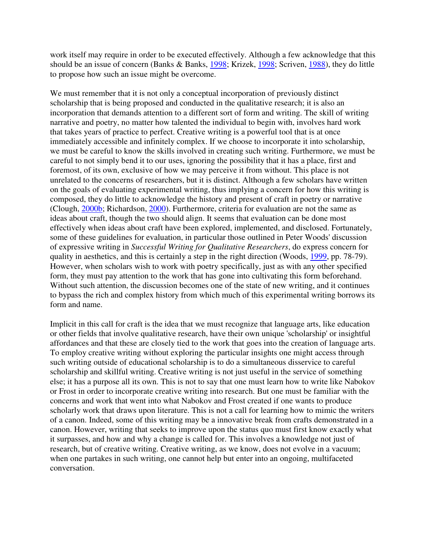work itself may require in order to be executed effectively. Although a few acknowledge that this should be an issue of concern (Banks & Banks, 1998; Krizek, 1998; Scriven, 1988), they do little to propose how such an issue might be overcome.

We must remember that it is not only a conceptual incorporation of previously distinct scholarship that is being proposed and conducted in the qualitative research; it is also an incorporation that demands attention to a different sort of form and writing. The skill of writing narrative and poetry, no matter how talented the individual to begin with, involves hard work that takes years of practice to perfect. Creative writing is a powerful tool that is at once immediately accessible and infinitely complex. If we choose to incorporate it into scholarship, we must be careful to know the skills involved in creating such writing. Furthermore, we must be careful to not simply bend it to our uses, ignoring the possibility that it has a place, first and foremost, of its own, exclusive of how we may perceive it from without. This place is not unrelated to the concerns of researchers, but it is distinct. Although a few scholars have written on the goals of evaluating experimental writing, thus implying a concern for how this writing is composed, they do little to acknowledge the history and present of craft in poetry or narrative (Clough, 2000b; Richardson, 2000). Furthermore, criteria for evaluation are not the same as ideas about craft, though the two should align. It seems that evaluation can be done most effectively when ideas about craft have been explored, implemented, and disclosed. Fortunately, some of these guidelines for evaluation, in particular those outlined in Peter Woods' discussion of expressive writing in *Successful Writing for Qualitative Researchers*, do express concern for quality in aesthetics, and this is certainly a step in the right direction (Woods, 1999, pp. 78-79). However, when scholars wish to work with poetry specifically, just as with any other specified form, they must pay attention to the work that has gone into cultivating this form beforehand. Without such attention, the discussion becomes one of the state of new writing, and it continues to bypass the rich and complex history from which much of this experimental writing borrows its form and name.

Implicit in this call for craft is the idea that we must recognize that language arts, like education or other fields that involve qualitative research, have their own unique 'scholarship' or insightful affordances and that these are closely tied to the work that goes into the creation of language arts. To employ creative writing without exploring the particular insights one might access through such writing outside of educational scholarship is to do a simultaneous disservice to careful scholarship and skillful writing. Creative writing is not just useful in the service of something else; it has a purpose all its own. This is not to say that one must learn how to write like Nabokov or Frost in order to incorporate creative writing into research. But one must be familiar with the concerns and work that went into what Nabokov and Frost created if one wants to produce scholarly work that draws upon literature. This is not a call for learning how to mimic the writers of a canon. Indeed, some of this writing may be a innovative break from crafts demonstrated in a canon. However, writing that seeks to improve upon the status quo must first know exactly what it surpasses, and how and why a change is called for. This involves a knowledge not just of research, but of creative writing. Creative writing, as we know, does not evolve in a vacuum; when one partakes in such writing, one cannot help but enter into an ongoing, multifaceted conversation.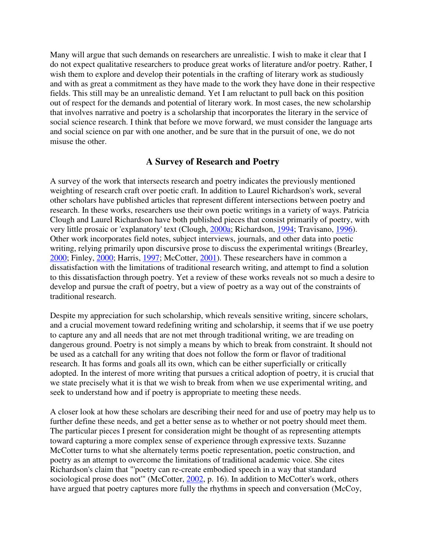Many will argue that such demands on researchers are unrealistic. I wish to make it clear that I do not expect qualitative researchers to produce great works of literature and/or poetry. Rather, I wish them to explore and develop their potentials in the crafting of literary work as studiously and with as great a commitment as they have made to the work they have done in their respective fields. This still may be an unrealistic demand. Yet I am reluctant to pull back on this position out of respect for the demands and potential of literary work. In most cases, the new scholarship that involves narrative and poetry is a scholarship that incorporates the literary in the service of social science research. I think that before we move forward, we must consider the language arts and social science on par with one another, and be sure that in the pursuit of one, we do not misuse the other.

#### **A Survey of Research and Poetry**

A survey of the work that intersects research and poetry indicates the previously mentioned weighting of research craft over poetic craft. In addition to Laurel Richardson's work, several other scholars have published articles that represent different intersections between poetry and research. In these works, researchers use their own poetic writings in a variety of ways. Patricia Clough and Laurel Richardson have both published pieces that consist primarily of poetry, with very little prosaic or 'explanatory' text (Clough, 2000a; Richardson, 1994; Travisano, 1996). Other work incorporates field notes, subject interviews, journals, and other data into poetic writing, relying primarily upon discursive prose to discuss the experimental writings (Brearley, 2000; Finley, 2000; Harris, 1997; McCotter, 2001). These researchers have in common a dissatisfaction with the limitations of traditional research writing, and attempt to find a solution to this dissatisfaction through poetry. Yet a review of these works reveals not so much a desire to develop and pursue the craft of poetry, but a view of poetry as a way out of the constraints of traditional research.

Despite my appreciation for such scholarship, which reveals sensitive writing, sincere scholars, and a crucial movement toward redefining writing and scholarship, it seems that if we use poetry to capture any and all needs that are not met through traditional writing, we are treading on dangerous ground. Poetry is not simply a means by which to break from constraint. It should not be used as a catchall for any writing that does not follow the form or flavor of traditional research. It has forms and goals all its own, which can be either superficially or critically adopted. In the interest of more writing that pursues a critical adoption of poetry, it is crucial that we state precisely what it is that we wish to break from when we use experimental writing, and seek to understand how and if poetry is appropriate to meeting these needs.

A closer look at how these scholars are describing their need for and use of poetry may help us to further define these needs, and get a better sense as to whether or not poetry should meet them. The particular pieces I present for consideration might be thought of as representing attempts toward capturing a more complex sense of experience through expressive texts. Suzanne McCotter turns to what she alternately terms poetic representation, poetic construction, and poetry as an attempt to overcome the limitations of traditional academic voice. She cites Richardson's claim that "'poetry can re-create embodied speech in a way that standard sociological prose does not" (McCotter, 2002, p. 16). In addition to McCotter's work, others have argued that poetry captures more fully the rhythms in speech and conversation (McCoy,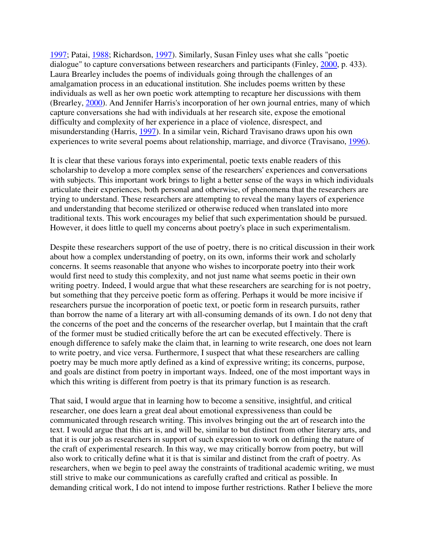1997; Patai, 1988; Richardson, 1997). Similarly, Susan Finley uses what she calls "poetic dialogue" to capture conversations between researchers and participants (Finley, 2000, p. 433). Laura Brearley includes the poems of individuals going through the challenges of an amalgamation process in an educational institution. She includes poems written by these individuals as well as her own poetic work attempting to recapture her discussions with them (Brearley, 2000). And Jennifer Harris's incorporation of her own journal entries, many of which capture conversations she had with individuals at her research site, expose the emotional difficulty and complexity of her experience in a place of violence, disrespect, and misunderstanding (Harris, 1997). In a similar vein, Richard Travisano draws upon his own experiences to write several poems about relationship, marriage, and divorce (Travisano, 1996).

It is clear that these various forays into experimental, poetic texts enable readers of this scholarship to develop a more complex sense of the researchers' experiences and conversations with subjects. This important work brings to light a better sense of the ways in which individuals articulate their experiences, both personal and otherwise, of phenomena that the researchers are trying to understand. These researchers are attempting to reveal the many layers of experience and understanding that become sterilized or otherwise reduced when translated into more traditional texts. This work encourages my belief that such experimentation should be pursued. However, it does little to quell my concerns about poetry's place in such experimentalism.

Despite these researchers support of the use of poetry, there is no critical discussion in their work about how a complex understanding of poetry, on its own, informs their work and scholarly concerns. It seems reasonable that anyone who wishes to incorporate poetry into their work would first need to study this complexity, and not just name what seems poetic in their own writing poetry. Indeed, I would argue that what these researchers are searching for is not poetry, but something that they perceive poetic form as offering. Perhaps it would be more incisive if researchers pursue the incorporation of poetic text, or poetic form in research pursuits, rather than borrow the name of a literary art with all-consuming demands of its own. I do not deny that the concerns of the poet and the concerns of the researcher overlap, but I maintain that the craft of the former must be studied critically before the art can be executed effectively. There is enough difference to safely make the claim that, in learning to write research, one does not learn to write poetry, and vice versa. Furthermore, I suspect that what these researchers are calling poetry may be much more aptly defined as a kind of expressive writing; its concerns, purpose, and goals are distinct from poetry in important ways. Indeed, one of the most important ways in which this writing is different from poetry is that its primary function is as research.

That said, I would argue that in learning how to become a sensitive, insightful, and critical researcher, one does learn a great deal about emotional expressiveness than could be communicated through research writing. This involves bringing out the art of research into the text. I would argue that this art is, and will be, similar to but distinct from other literary arts, and that it is our job as researchers in support of such expression to work on defining the nature of the craft of experimental research. In this way, we may critically borrow from poetry, but will also work to critically define what it is that is similar and distinct from the craft of poetry. As researchers, when we begin to peel away the constraints of traditional academic writing, we must still strive to make our communications as carefully crafted and critical as possible. In demanding critical work, I do not intend to impose further restrictions. Rather I believe the more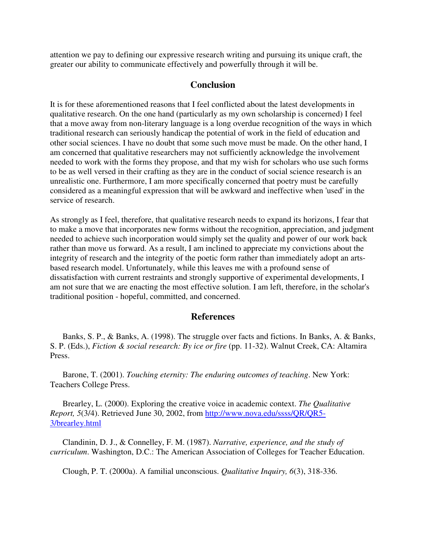attention we pay to defining our expressive research writing and pursuing its unique craft, the greater our ability to communicate effectively and powerfully through it will be.

#### **Conclusion**

It is for these aforementioned reasons that I feel conflicted about the latest developments in qualitative research. On the one hand (particularly as my own scholarship is concerned) I feel that a move away from non-literary language is a long overdue recognition of the ways in which traditional research can seriously handicap the potential of work in the field of education and other social sciences. I have no doubt that some such move must be made. On the other hand, I am concerned that qualitative researchers may not sufficiently acknowledge the involvement needed to work with the forms they propose, and that my wish for scholars who use such forms to be as well versed in their crafting as they are in the conduct of social science research is an unrealistic one. Furthermore, I am more specifically concerned that poetry must be carefully considered as a meaningful expression that will be awkward and ineffective when 'used' in the service of research.

As strongly as I feel, therefore, that qualitative research needs to expand its horizons, I fear that to make a move that incorporates new forms without the recognition, appreciation, and judgment needed to achieve such incorporation would simply set the quality and power of our work back rather than move us forward. As a result, I am inclined to appreciate my convictions about the integrity of research and the integrity of the poetic form rather than immediately adopt an artsbased research model. Unfortunately, while this leaves me with a profound sense of dissatisfaction with current restraints and strongly supportive of experimental developments, I am not sure that we are enacting the most effective solution. I am left, therefore, in the scholar's traditional position - hopeful, committed, and concerned.

#### **References**

 Banks, S. P., & Banks, A. (1998). The struggle over facts and fictions. In Banks, A. & Banks, S. P. (Eds.), *Fiction & social research: By ice or fire* (pp. 11-32). Walnut Creek, CA: Altamira Press.

 Barone, T. (2001). *Touching eternity: The enduring outcomes of teaching*. New York: Teachers College Press.

 Brearley, L. (2000). Exploring the creative voice in academic context. *The Qualitative Report, 5*(3/4). Retrieved June 30, 2002, from http://www.nova.edu/ssss/QR/QR5- 3/brearley.html

 Clandinin, D. J., & Connelley, F. M. (1987). *Narrative, experience, and the study of curriculum*. Washington, D.C.: The American Association of Colleges for Teacher Education.

Clough, P. T. (2000a). A familial unconscious. *Qualitative Inquiry, 6*(3), 318-336.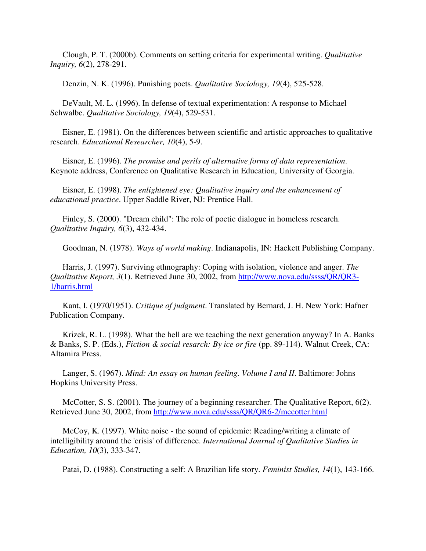Clough, P. T. (2000b). Comments on setting criteria for experimental writing. *Qualitative Inquiry, 6*(2), 278-291.

Denzin, N. K. (1996). Punishing poets. *Qualitative Sociology, 19*(4), 525-528.

 DeVault, M. L. (1996). In defense of textual experimentation: A response to Michael Schwalbe. *Qualitative Sociology, 19*(4), 529-531.

 Eisner, E. (1981). On the differences between scientific and artistic approaches to qualitative research. *Educational Researcher, 10*(4), 5-9.

 Eisner, E. (1996). *The promise and perils of alternative forms of data representation*. Keynote address, Conference on Qualitative Research in Education, University of Georgia.

 Eisner, E. (1998). *The enlightened eye: Qualitative inquiry and the enhancement of educational practice*. Upper Saddle River, NJ: Prentice Hall.

 Finley, S. (2000). "Dream child": The role of poetic dialogue in homeless research. *Qualitative Inquiry, 6*(3), 432-434.

Goodman, N. (1978). *Ways of world making*. Indianapolis, IN: Hackett Publishing Company.

 Harris, J. (1997). Surviving ethnography: Coping with isolation, violence and anger. *The Qualitative Report, 3*(1). Retrieved June 30, 2002, from http://www.nova.edu/ssss/QR/QR3- 1/harris.html

 Kant, I. (1970/1951). *Critique of judgment*. Translated by Bernard, J. H. New York: Hafner Publication Company.

 Krizek, R. L. (1998). What the hell are we teaching the next generation anyway? In A. Banks & Banks, S. P. (Eds.), *Fiction & social resarch: By ice or fire* (pp. 89-114). Walnut Creek, CA: Altamira Press.

 Langer, S. (1967). *Mind: An essay on human feeling. Volume I and II*. Baltimore: Johns Hopkins University Press.

McCotter, S. S. (2001). The journey of a beginning researcher. The Qualitative Report, 6(2). Retrieved June 30, 2002, from http://www.nova.edu/ssss/QR/QR6-2/mccotter.html

 McCoy, K. (1997). White noise - the sound of epidemic: Reading/writing a climate of intelligibility around the 'crisis' of difference. *International Journal of Qualitative Studies in Education, 10*(3), 333-347.

Patai, D. (1988). Constructing a self: A Brazilian life story. *Feminist Studies, 14*(1), 143-166.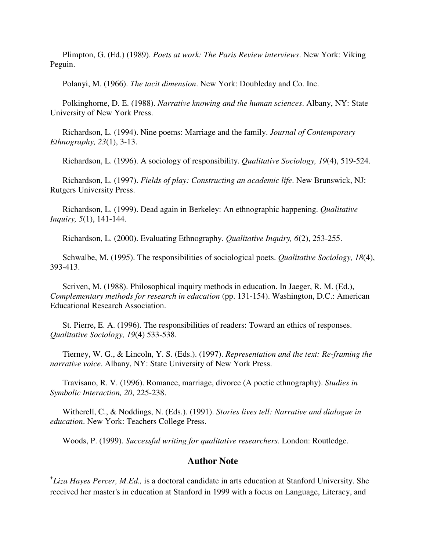Plimpton, G. (Ed.) (1989). *Poets at work: The Paris Review interviews*. New York: Viking Peguin.

Polanyi, M. (1966). *The tacit dimension*. New York: Doubleday and Co. Inc.

 Polkinghorne, D. E. (1988). *Narrative knowing and the human sciences*. Albany, NY: State University of New York Press.

 Richardson, L. (1994). Nine poems: Marriage and the family. *Journal of Contemporary Ethnography, 23*(1), 3-13.

Richardson, L. (1996). A sociology of responsibility. *Qualitative Sociology, 19*(4), 519-524.

 Richardson, L. (1997). *Fields of play: Constructing an academic life*. New Brunswick, NJ: Rutgers University Press.

 Richardson, L. (1999). Dead again in Berkeley: An ethnographic happening. *Qualitative Inquiry, 5*(1), 141-144.

Richardson, L. (2000). Evaluating Ethnography. *Qualitative Inquiry, 6*(2), 253-255.

 Schwalbe, M. (1995). The responsibilities of sociological poets. *Qualitative Sociology, 18*(4), 393-413.

 Scriven, M. (1988). Philosophical inquiry methods in education. In Jaeger, R. M. (Ed.), *Complementary methods for research in education* (pp. 131-154). Washington, D.C.: American Educational Research Association.

 St. Pierre, E. A. (1996). The responsibilities of readers: Toward an ethics of responses. *Qualitative Sociology, 19*(4) 533-538.

 Tierney, W. G., & Lincoln, Y. S. (Eds.). (1997). *Representation and the text: Re-framing the narrative voice*. Albany, NY: State University of New York Press.

 Travisano, R. V. (1996). Romance, marriage, divorce (A poetic ethnography). *Studies in Symbolic Interaction, 20*, 225-238.

 Witherell, C., & Noddings, N. (Eds.). (1991). *Stories lives tell: Narrative and dialogue in education*. New York: Teachers College Press.

Woods, P. (1999). *Successful writing for qualitative researchers*. London: Routledge.

#### **Author Note**

**+** *Liza Hayes Percer, M.Ed.,* is a doctoral candidate in arts education at Stanford University. She received her master's in education at Stanford in 1999 with a focus on Language, Literacy, and